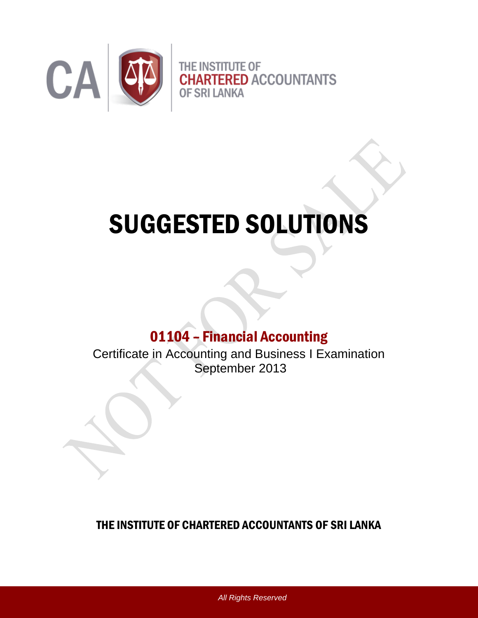

# SUGGESTED SOLUTIONS

# 01104 – Financial Accounting

Certificate in Accounting and Business I Examination September 2013

## THE INSTITUTE OF CHARTERED ACCOUNTANTS OF SRI LANKA

*All Rights Reserved*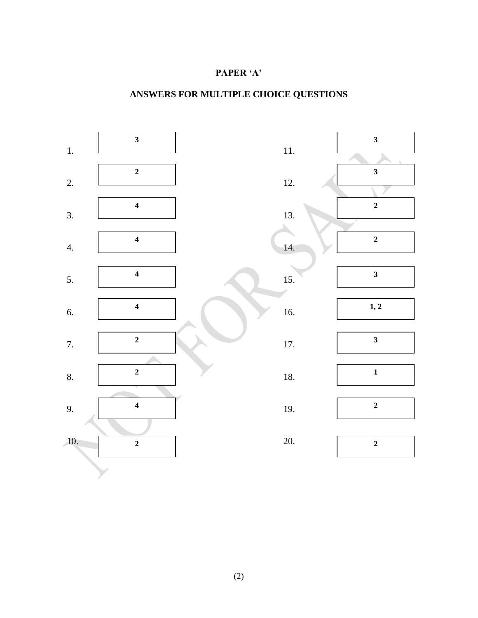#### **PAPER 'A'**

## **ANSWERS FOR MULTIPLE CHOICE QUESTIONS**

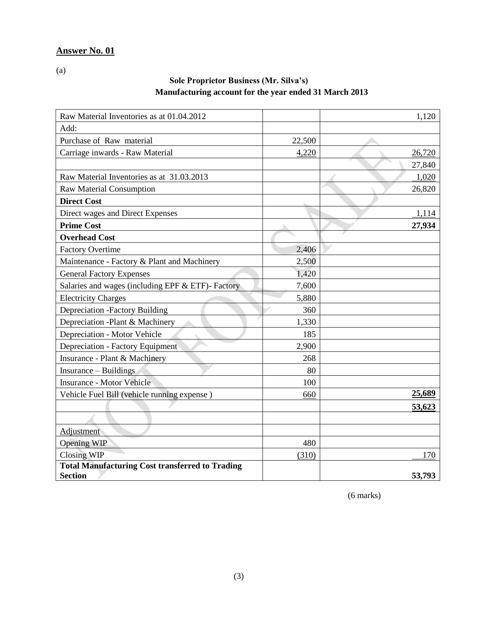(a)

#### **Sole Proprietor Business (Mr. Silva's) Manufacturing account for the year ended 31 March 2013**

| Raw Material Inventories as at 01.04.2012              |        | 1,120  |
|--------------------------------------------------------|--------|--------|
| Add:                                                   |        |        |
| Purchase of Raw material                               | 22,500 |        |
| Carriage inwards - Raw Material                        | 4,220  | 26,720 |
|                                                        |        | 27,840 |
| Raw Material Inventories as at 31.03.2013              |        | 1,020  |
| <b>Raw Material Consumption</b>                        |        | 26,820 |
| <b>Direct Cost</b>                                     |        |        |
| Direct wages and Direct Expenses                       |        | 1,114  |
| <b>Prime Cost</b>                                      |        | 27,934 |
| <b>Overhead Cost</b>                                   |        |        |
| <b>Factory Overtime</b>                                | 2,406  |        |
| Maintenance - Factory & Plant and Machinery            | 2,500  |        |
| <b>General Factory Expenses</b>                        | 1,420  |        |
| Salaries and wages (including EPF & ETF)- Factory      | 7,600  |        |
| <b>Electricity Charges</b>                             | 5,880  |        |
| <b>Depreciation -Factory Building</b>                  | 360    |        |
| Depreciation -Plant & Machinery                        | 1,330  |        |
| Depreciation - Motor Vehicle                           | 185    |        |
| Depreciation - Factory Equipment                       | 2,900  |        |
| Insurance - Plant & Machinery                          | 268    |        |
| Insurance – Buildings                                  | 80     |        |
| <b>Insurance - Motor Vehicle</b>                       | 100    |        |
| Vehicle Fuel Bill (vehicle running expense)            | 660    | 25,689 |
|                                                        |        | 53,623 |
|                                                        |        |        |
| Adjustment                                             |        |        |
| <b>Opening WIP</b>                                     | 480    |        |
| <b>Closing WIP</b>                                     | (310)  | 170    |
| <b>Total Manufacturing Cost transferred to Trading</b> |        |        |
| <b>Section</b>                                         |        | 53,793 |

(6 marks)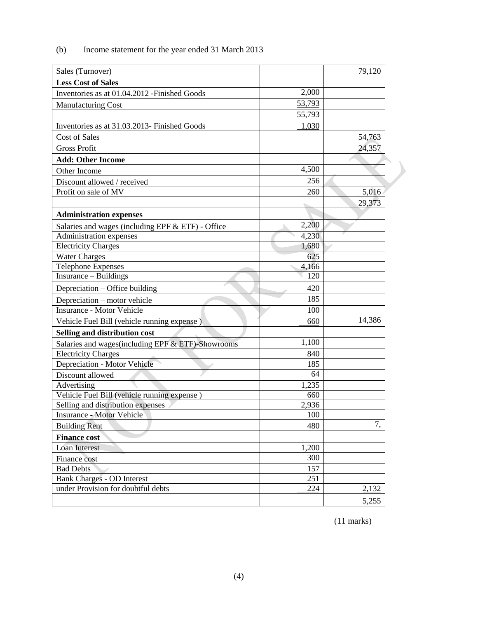| Sales (Turnover)                                                                |        | 79,120 |
|---------------------------------------------------------------------------------|--------|--------|
| <b>Less Cost of Sales</b>                                                       |        |        |
| Inventories as at 01.04.2012 - Finished Goods                                   | 2,000  |        |
| <b>Manufacturing Cost</b>                                                       | 53,793 |        |
|                                                                                 | 55,793 |        |
| Inventories as at 31.03.2013- Finished Goods                                    | 1,030  |        |
| <b>Cost of Sales</b>                                                            |        | 54,763 |
| <b>Gross Profit</b>                                                             |        | 24,357 |
| <b>Add: Other Income</b>                                                        |        |        |
| Other Income                                                                    | 4,500  |        |
| Discount allowed / received                                                     | 256    |        |
| Profit on sale of MV                                                            | 260    | 5,016  |
|                                                                                 |        | 29,373 |
| <b>Administration expenses</b>                                                  |        |        |
|                                                                                 | 2,200  |        |
| Salaries and wages (including EPF & ETF) - Office<br>Administration expenses    | 4,230  |        |
| <b>Electricity Charges</b>                                                      | 1,680  |        |
| <b>Water Charges</b>                                                            | 625    |        |
| <b>Telephone Expenses</b>                                                       | 4,166  |        |
| Insurance - Buildings                                                           | 120    |        |
| Depreciation – Office building                                                  | 420    |        |
| Depreciation – motor vehicle                                                    | 185    |        |
| <b>Insurance - Motor Vehicle</b>                                                | 100    |        |
| Vehicle Fuel Bill (vehicle running expense)                                     | 660    | 14,386 |
|                                                                                 |        |        |
| Selling and distribution cost                                                   | 1,100  |        |
| Salaries and wages(including EPF & ETF)-Showrooms<br><b>Electricity Charges</b> | 840    |        |
| Depreciation - Motor Vehicle                                                    | 185    |        |
| Discount allowed                                                                | 64     |        |
| Advertising                                                                     | 1,235  |        |
| Vehicle Fuel Bill (vehicle running expense)                                     | 660    |        |
| Selling and distribution expenses                                               | 2,936  |        |
| <b>Insurance - Motor Vehicle</b>                                                | 100    |        |
| <b>Building Rent</b>                                                            | 480    | 7,     |
| <b>Finance cost</b>                                                             |        |        |
| Loan Interest                                                                   | 1,200  |        |
| Finance cost                                                                    | 300    |        |
| <b>Bad Debts</b>                                                                | 157    |        |
| <b>Bank Charges - OD Interest</b>                                               | 251    |        |
| under Provision for doubtful debts                                              | 224    | 2,132  |
|                                                                                 |        | 5,255  |

#### (b) Income statement for the year ended 31 March 2013

(11 marks)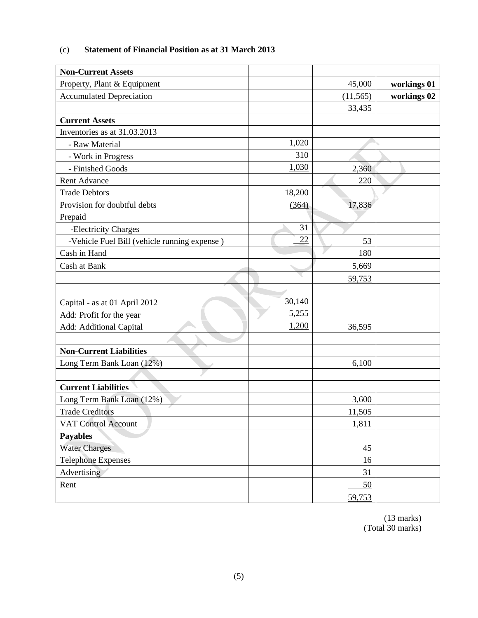| <b>Non-Current Assets</b>                    |        |           |             |
|----------------------------------------------|--------|-----------|-------------|
| Property, Plant & Equipment                  |        | 45,000    | workings 01 |
| <b>Accumulated Depreciation</b>              |        | (11, 565) | workings 02 |
|                                              |        | 33,435    |             |
| <b>Current Assets</b>                        |        |           |             |
| Inventories as at 31.03.2013                 |        |           |             |
| - Raw Material                               | 1,020  |           |             |
| - Work in Progress                           | 310    |           |             |
| - Finished Goods                             | 1,030  | 2,360     |             |
| <b>Rent Advance</b>                          |        | 220       |             |
| <b>Trade Debtors</b>                         | 18,200 |           |             |
| Provision for doubtful debts                 | (364)  | 17,836    |             |
| Prepaid                                      |        |           |             |
| -Electricity Charges                         | 31     |           |             |
| -Vehicle Fuel Bill (vehicle running expense) | 22     | 53        |             |
| Cash in Hand                                 |        | 180       |             |
| Cash at Bank                                 |        | 5,669     |             |
|                                              |        | 59,753    |             |
|                                              |        |           |             |
| Capital - as at 01 April 2012                | 30,140 |           |             |
| Add: Profit for the year                     | 5,255  |           |             |
| Add: Additional Capital                      | 1,200  | 36,595    |             |
|                                              |        |           |             |
| <b>Non-Current Liabilities</b>               |        |           |             |
| Long Term Bank Loan (12%)                    |        | 6,100     |             |
|                                              |        |           |             |
| <b>Current Liabilities</b>                   |        |           |             |
| Long Term Bank Loan (12%)                    |        | 3,600     |             |
| <b>Trade Creditors</b>                       |        | 11,505    |             |
| <b>VAT Control Account</b>                   |        | 1,811     |             |
| <b>Payables</b>                              |        |           |             |
| <b>Water Charges</b>                         |        | 45        |             |
| <b>Telephone Expenses</b>                    |        | 16        |             |
| Advertising                                  |        | 31        |             |
| Rent                                         |        | 50        |             |
|                                              |        | 59,753    |             |

#### (c) **Statement of Financial Position as at 31 March 2013**

(13 marks) (Total 30 marks)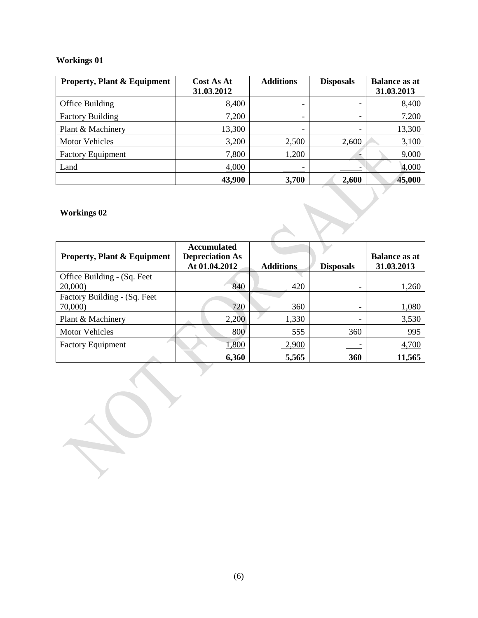#### **Workings 01**

| <b>Property, Plant &amp; Equipment</b> | Cost As At<br>31.03.2012 | <b>Additions</b> | <b>Disposals</b>         | <b>Balance as at</b><br>31.03.2013 |
|----------------------------------------|--------------------------|------------------|--------------------------|------------------------------------|
| Office Building                        | 8,400                    | -                | $\overline{\phantom{0}}$ | 8,400                              |
| <b>Factory Building</b>                | 7,200                    | -                | $\overline{\phantom{0}}$ | 7,200                              |
| Plant & Machinery                      | 13,300                   | -                | $\overline{\phantom{0}}$ | 13,300                             |
| <b>Motor Vehicles</b>                  | 3,200                    | 2,500            | 2,600                    | 3,100                              |
| <b>Factory Equipment</b>               | 7,800                    | 1,200            |                          | 9,000                              |
| Land                                   | 4,000                    |                  |                          | 4,000                              |
|                                        | 43,900                   | 3,700            | 2,600                    | 45,000                             |

### **Workings 02**

| <b>Property, Plant &amp; Equipment</b> | <b>Accumulated</b><br><b>Depreciation As</b><br>At 01.04.2012 | <b>Additions</b> | <b>Disposals</b> | <b>Balance as at</b><br>31.03.2013 |
|----------------------------------------|---------------------------------------------------------------|------------------|------------------|------------------------------------|
| Office Building - (Sq. Feet            |                                                               |                  |                  |                                    |
| 20,000)                                | 840                                                           | 420              |                  | 1,260                              |
| Factory Building - (Sq. Feet           |                                                               |                  |                  |                                    |
| 70,000)                                | 720                                                           | 360              |                  | 1,080                              |
| Plant & Machinery                      | 2,200                                                         | 1,330            |                  | 3,530                              |
| <b>Motor Vehicles</b>                  | 800                                                           | 555              | 360              | 995                                |
| <b>Factory Equipment</b>               | 1,800                                                         | 2,900            |                  | 4,700                              |
|                                        | 6,360                                                         | 5,565            | 360              | 11,565                             |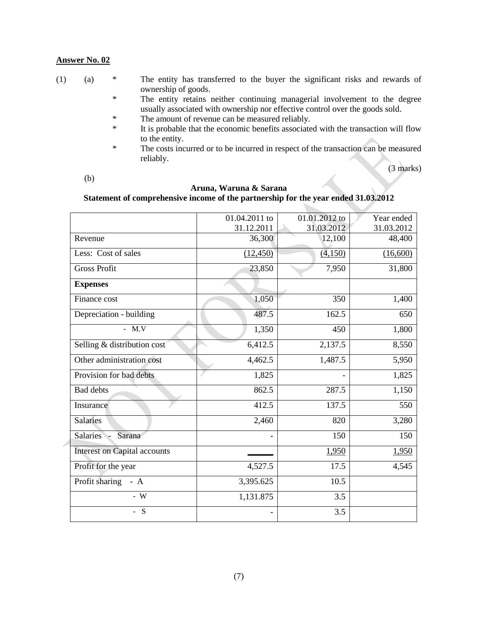| (1) |  | The entity has transferred to the buyer the significant risks and rewards of |  |  |  |  |  |  |
|-----|--|------------------------------------------------------------------------------|--|--|--|--|--|--|
|     |  | ownership of goods.                                                          |  |  |  |  |  |  |

- \* The entity retains neither continuing managerial involvement to the degree usually associated with ownership nor effective control over the goods sold.
- \* The amount of revenue can be measured reliably.<br>
It is probable that the economic benefits associate
- It is probable that the economic benefits associated with the transaction will flow to the entity.
- \* The costs incurred or to be incurred in respect of the transaction can be measured reliably.

(3 marks)

(b)

#### **Aruna, Waruna & Sarana Statement of comprehensive income of the partnership for the year ended 31.03.2012**

|                                     | 01.04.2011 to            | 01.01.2012 to | Year ended |
|-------------------------------------|--------------------------|---------------|------------|
|                                     | 31.12.2011               | 31.03.2012    | 31.03.2012 |
| Revenue                             | 36,300                   | 12,100        | 48,400     |
| Less: Cost of sales                 | (12, 450)                | (4,150)       | (16,600)   |
| <b>Gross Profit</b>                 | 23,850                   | 7,950         | 31,800     |
| <b>Expenses</b>                     |                          |               |            |
| Finance cost                        | 1,050                    | 350           | 1,400      |
| Depreciation - building             | 487.5                    | 162.5         | 650        |
| - $M.V$                             | 1,350                    | 450           | 1,800      |
| Selling & distribution cost         | 6,412.5                  | 2,137.5       | 8,550      |
| Other administration cost           | 4,462.5                  | 1,487.5       | 5,950      |
| Provision for bad debts             | 1,825                    |               | 1,825      |
| <b>Bad</b> debts                    | 862.5                    | 287.5         | 1,150      |
| Insurance                           | 412.5                    | 137.5         | 550        |
| <b>Salaries</b>                     | 2,460                    | 820           | 3,280      |
| <b>Salaries</b><br>Sarana           |                          | 150           | 150        |
| <b>Interest on Capital accounts</b> |                          | 1,950         | 1,950      |
| Profit for the year                 | 4,527.5                  | 17.5          | 4,545      |
| Profit sharing - A                  | 3,395.625                | 10.5          |            |
| - $W$                               | 1,131.875                | 3.5           |            |
| S<br>$\overline{a}$                 | $\overline{\phantom{0}}$ | 3.5           |            |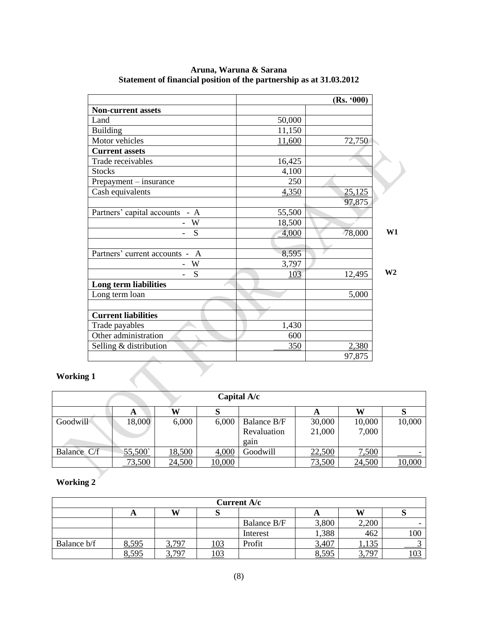|                                              |        | (Rs. '000) |                |
|----------------------------------------------|--------|------------|----------------|
| <b>Non-current assets</b>                    |        |            |                |
| Land                                         | 50,000 |            |                |
| <b>Building</b>                              | 11,150 |            |                |
| Motor vehicles                               | 11,600 | 72,750     |                |
| <b>Current assets</b>                        |        |            |                |
| Trade receivables                            | 16,425 |            |                |
| <b>Stocks</b>                                | 4,100  |            |                |
| Prepayment - insurance                       | 250    |            |                |
| Cash equivalents                             | 4,350  | 25,125     |                |
|                                              |        | 97,875     |                |
| Partners' capital accounts - A               | 55,500 |            |                |
| W                                            | 18,500 |            |                |
| S                                            | 4,000  | 78,000     | W1             |
|                                              |        |            |                |
| Partners' current accounts -<br>$\mathbf{A}$ | 8,595  |            |                |
| W                                            | 3,797  |            |                |
| S                                            | 103    | 12,495     | W <sub>2</sub> |
| Long term liabilities                        |        |            |                |
| Long term loan                               |        | 5,000      |                |
|                                              |        |            |                |
| <b>Current liabilities</b>                   |        |            |                |
| Trade payables                               | 1,430  |            |                |
| Other administration                         | 600    |            |                |
|                                              | 350    | 2,380      |                |
| Selling & distribution                       |        |            |                |

**Aruna, Waruna & Sarana Statement of financial position of the partnership as at 31.03.2012** 

#### **Working 1**

|             |        |        |        | Capital A/c |        |        |        |
|-------------|--------|--------|--------|-------------|--------|--------|--------|
|             | A      | W      |        |             | A      | W      |        |
| Goodwill    | 18,000 | 6,000  | 6,000  | Balance B/F | 30,000 | 10,000 | 10,000 |
|             |        |        |        | Revaluation | 21,000 | 7,000  |        |
|             |        |        |        | gain        |        |        |        |
| Balance C/f | 55,500 | 18,500 | 4,000  | Goodwill    | 22,500 | 7,500  |        |
|             | 73,500 | 24,500 | 10,000 |             | 73,500 | 24,500 | 10,000 |

## **Working 2**

| Current A/c |       |       |     |             |       |       |     |
|-------------|-------|-------|-----|-------------|-------|-------|-----|
|             | л     | W     |     |             |       | W     |     |
|             |       |       |     | Balance B/F | 3,800 | 2,200 | -   |
|             |       |       |     | Interest    | 1,388 | 462   | 100 |
| Balance b/f | 8,595 | 3,797 | .03 | Profit      | 3,407 | 1,135 |     |
|             | 8,595 | 3.797 | 103 |             | 8,595 | 3707  | 103 |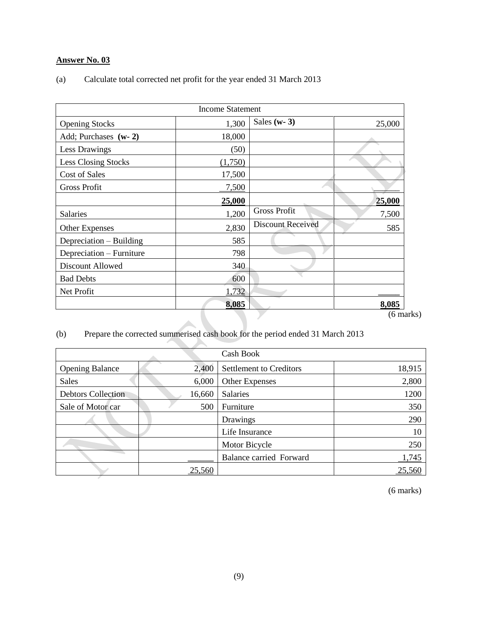| (a) | Calculate total corrected net profit for the year ended 31 March 2013 |  |  |
|-----|-----------------------------------------------------------------------|--|--|
|-----|-----------------------------------------------------------------------|--|--|

|                            | <b>Income Statement</b> |                          |                  |
|----------------------------|-------------------------|--------------------------|------------------|
| <b>Opening Stocks</b>      | 1,300                   | Sales ( $w-3$ )          | 25,000           |
| Add; Purchases (w-2)       | 18,000                  |                          |                  |
| Less Drawings              | (50)                    |                          |                  |
| <b>Less Closing Stocks</b> | (1,750)                 |                          |                  |
| Cost of Sales              | 17,500                  |                          |                  |
| <b>Gross Profit</b>        | 7,500                   |                          |                  |
|                            | 25,000                  |                          | 25,000           |
| Salaries                   | 1,200                   | <b>Gross Profit</b>      | 7,500            |
| <b>Other Expenses</b>      | 2,830                   | <b>Discount Received</b> | 585              |
| Depreciation – Building    | 585                     |                          |                  |
| Depreciation - Furniture   | 798                     |                          |                  |
| Discount Allowed           | 340                     |                          |                  |
| <b>Bad Debts</b>           | 600                     |                          |                  |
| Net Profit                 | 1,732                   |                          |                  |
|                            | 8,085                   |                          | 8,085            |
|                            |                         |                          | $(6 \text{ ma})$ |

(6 marks)

## (b) Prepare the corrected summerised cash book for the period ended 31 March 2013

**TANK** 

| Cash Book                 |        |                                |        |
|---------------------------|--------|--------------------------------|--------|
| <b>Opening Balance</b>    | 2,400  | <b>Settlement to Creditors</b> | 18,915 |
| <b>Sales</b>              | 6,000  | <b>Other Expenses</b>          | 2,800  |
| <b>Debtors Collection</b> | 16,660 | Salaries                       | 1200   |
| Sale of Motor car         | 500    | Furniture                      | 350    |
|                           |        | Drawings                       | 290    |
|                           |        | Life Insurance                 | 10     |
|                           |        | Motor Bicycle                  | 250    |
|                           |        | <b>Balance carried Forward</b> | 1,745  |
|                           | 25,560 |                                | 25,560 |

(6 marks)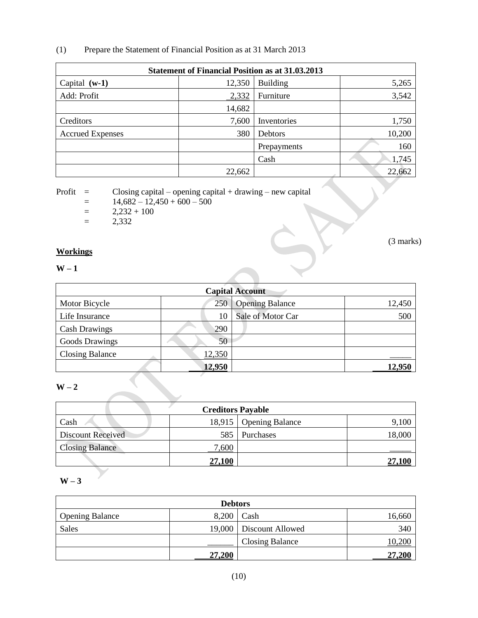(1) Prepare the Statement of Financial Position as at 31 March 2013

| <b>Statement of Financial Position as at 31.03.2013</b> |        |                 |        |  |
|---------------------------------------------------------|--------|-----------------|--------|--|
| Capital $(w-1)$                                         | 12,350 | <b>Building</b> | 5,265  |  |
| Add: Profit                                             | 2,332  | Furniture       | 3,542  |  |
|                                                         | 14,682 |                 |        |  |
| Creditors                                               | 7,600  | Inventories     | 1,750  |  |
| <b>Accrued Expenses</b>                                 | 380    | Debtors         | 10,200 |  |
|                                                         |        | Prepayments     | 160    |  |
|                                                         |        | Cash            | 1,745  |  |
|                                                         | 22,662 |                 | 22,662 |  |

Profit  $=$  Closing capital – opening capital + drawing – new capital

- $= 14,682 12,450 + 600 500$
- $=$  2,232 + 100
- $=$  2,332

#### **Workings**

#### **W – 1**

| <b>Capital Account</b> |        |                        |        |
|------------------------|--------|------------------------|--------|
| Motor Bicycle          | 250    | <b>Opening Balance</b> | 12,450 |
| Life Insurance         | 10     | Sale of Motor Car      | 500    |
| <b>Cash Drawings</b>   | 290    |                        |        |
| <b>Goods Drawings</b>  | 50     |                        |        |
| <b>Closing Balance</b> | 12,350 |                        |        |
|                        | 12,950 |                        | 12,950 |

(3 marks)

#### **W – 2**

| <b>Creditors Payable</b> |               |                          |        |  |
|--------------------------|---------------|--------------------------|--------|--|
| Cash                     |               | 18,915   Opening Balance |        |  |
| Discount Received        |               | 585 Purchases            | 18,000 |  |
| <b>Closing Balance</b>   | ,600          |                          |        |  |
|                          | <b>27,100</b> |                          |        |  |

## **W – 3**

| <b>Debtors</b>         |        |                  |        |
|------------------------|--------|------------------|--------|
| <b>Opening Balance</b> | 8,200  | Cash             | 16,660 |
| Sales                  | 19,000 | Discount Allowed | 340    |
|                        |        | Closing Balance  | .0,200 |
|                        | 27,200 |                  | 27,200 |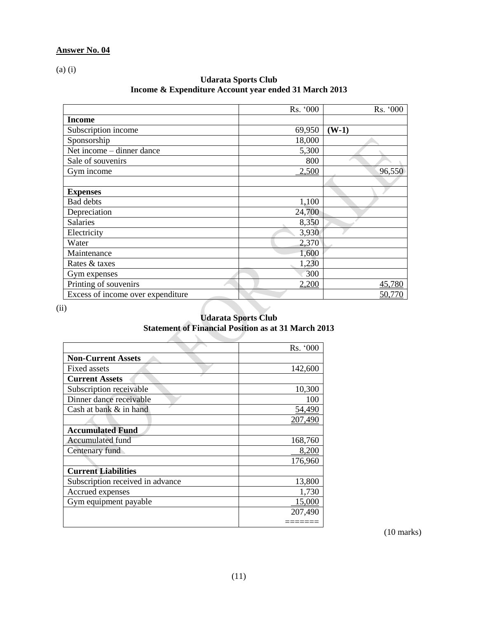(a) (i)

| <b>Udarata Sports Club</b>                            |
|-------------------------------------------------------|
| Income & Expenditure Account year ended 31 March 2013 |

|                                   | Rs. '000 | Rs. '000 |
|-----------------------------------|----------|----------|
| <b>Income</b>                     |          |          |
| Subscription income               | 69,950   | $(W-1)$  |
| Sponsorship                       | 18,000   |          |
| Net income – dinner dance         | 5,300    |          |
| Sale of souvenirs                 | 800      |          |
| Gym income                        | 2,500    | 96,550   |
|                                   |          |          |
| <b>Expenses</b>                   |          |          |
| <b>Bad debts</b>                  | 1,100    |          |
| Depreciation                      | 24,700   |          |
| <b>Salaries</b>                   | 8,350    |          |
| Electricity                       | 3,930    |          |
| Water                             | 2,370    |          |
| Maintenance                       | 1,600    |          |
| Rates & taxes                     | 1,230    |          |
| Gym expenses                      | 300      |          |
| Printing of souvenirs             | 2,200    | 45,780   |
| Excess of income over expenditure |          | 50,770   |

(ii)

#### **Udarata Sports Club Statement of Financial Position as at 31 March 2013**

|                                  | Rs. '000 |
|----------------------------------|----------|
| <b>Non-Current Assets</b>        |          |
| <b>Fixed assets</b>              | 142,600  |
| <b>Current Assets</b>            |          |
| Subscription receivable          | 10,300   |
| Dinner dance receivable          | 100      |
| Cash at bank & in hand           | 54,490   |
|                                  | 207,490  |
| <b>Accumulated Fund</b>          |          |
| Accumulated fund                 | 168,760  |
| Centenary fund                   | 8,200    |
|                                  | 176,960  |
| <b>Current Liabilities</b>       |          |
| Subscription received in advance | 13,800   |
| Accrued expenses                 | 1,730    |
| Gym equipment payable            | 15,000   |
|                                  | 207,490  |
|                                  |          |

(10 marks)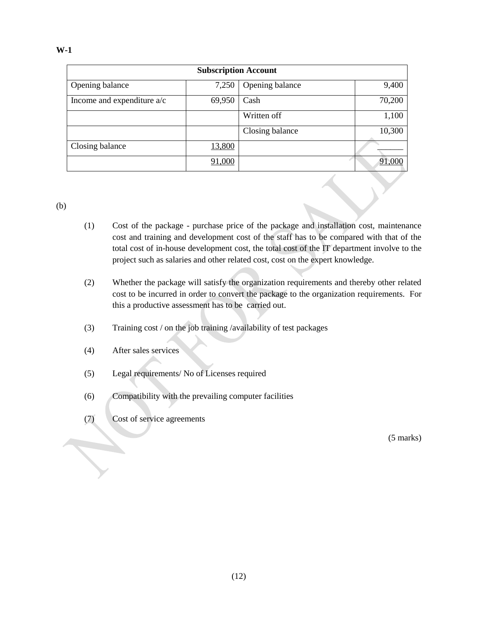| <b>Subscription Account</b>  |        |                 |        |  |
|------------------------------|--------|-----------------|--------|--|
| Opening balance              | 7,250  | Opening balance | 9,400  |  |
| Income and expenditure $a/c$ | 69,950 | Cash            | 70,200 |  |
|                              |        | Written off     | 1,100  |  |
|                              |        | Closing balance | 10,300 |  |
| Closing balance              | 13,800 |                 |        |  |
|                              | 91,000 |                 | 91,000 |  |

(b)

- (1) Cost of the package purchase price of the package and installation cost, maintenance cost and training and development cost of the staff has to be compared with that of the total cost of in-house development cost, the total cost of the IT department involve to the project such as salaries and other related cost, cost on the expert knowledge.
- (2) Whether the package will satisfy the organization requirements and thereby other related cost to be incurred in order to convert the package to the organization requirements. For this a productive assessment has to be carried out.
- (3) Training cost / on the job training /availability of test packages
- (4) After sales services
- (5) Legal requirements/ No of Licenses required
- (6) Compatibility with the prevailing computer facilities
- (7) Cost of service agreements

(5 marks)

**W-1**